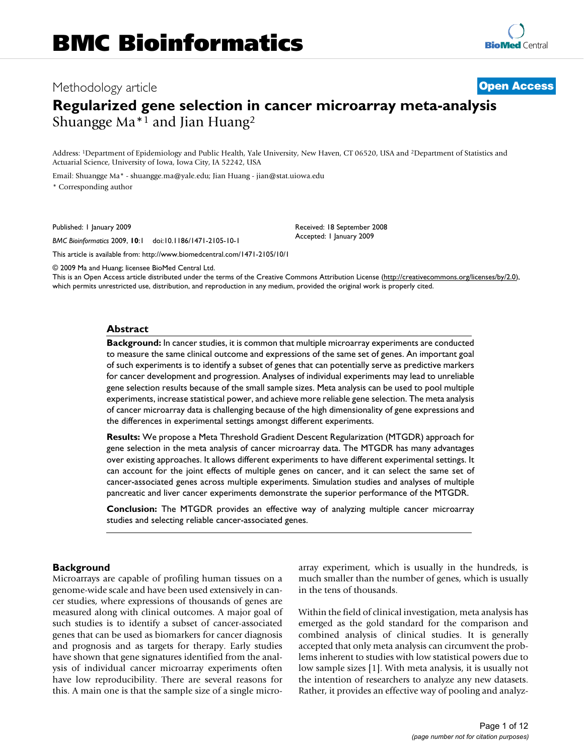# Methodology article **[Open Access](http://www.biomedcentral.com/info/about/charter/) Regularized gene selection in cancer microarray meta-analysis** Shuangge Ma\*1 and Jian Huang2

Address: 1Department of Epidemiology and Public Health, Yale University, New Haven, CT 06520, USA and 2Department of Statistics and Actuarial Science, University of Iowa, Iowa City, IA 52242, USA

Email: Shuangge Ma\* - shuangge.ma@yale.edu; Jian Huang - jian@stat.uiowa.edu

\* Corresponding author

Published: 1 January 2009

*BMC Bioinformatics* 2009, **10**:1 doi:10.1186/1471-2105-10-1

[This article is available from: http://www.biomedcentral.com/1471-2105/10/1](http://www.biomedcentral.com/1471-2105/10/1)

© 2009 Ma and Huang; licensee BioMed Central Ltd.

This is an Open Access article distributed under the terms of the Creative Commons Attribution License [\(http://creativecommons.org/licenses/by/2.0\)](http://creativecommons.org/licenses/by/2.0), which permits unrestricted use, distribution, and reproduction in any medium, provided the original work is properly cited.

Received: 18 September 2008 Accepted: 1 January 2009

#### **Abstract**

**Background:** In cancer studies, it is common that multiple microarray experiments are conducted to measure the same clinical outcome and expressions of the same set of genes. An important goal of such experiments is to identify a subset of genes that can potentially serve as predictive markers for cancer development and progression. Analyses of individual experiments may lead to unreliable gene selection results because of the small sample sizes. Meta analysis can be used to pool multiple experiments, increase statistical power, and achieve more reliable gene selection. The meta analysis of cancer microarray data is challenging because of the high dimensionality of gene expressions and the differences in experimental settings amongst different experiments.

**Results:** We propose a Meta Threshold Gradient Descent Regularization (MTGDR) approach for gene selection in the meta analysis of cancer microarray data. The MTGDR has many advantages over existing approaches. It allows different experiments to have different experimental settings. It can account for the joint effects of multiple genes on cancer, and it can select the same set of cancer-associated genes across multiple experiments. Simulation studies and analyses of multiple pancreatic and liver cancer experiments demonstrate the superior performance of the MTGDR.

**Conclusion:** The MTGDR provides an effective way of analyzing multiple cancer microarray studies and selecting reliable cancer-associated genes.

#### **Background**

Microarrays are capable of profiling human tissues on a genome-wide scale and have been used extensively in cancer studies, where expressions of thousands of genes are measured along with clinical outcomes. A major goal of such studies is to identify a subset of cancer-associated genes that can be used as biomarkers for cancer diagnosis and prognosis and as targets for therapy. Early studies have shown that gene signatures identified from the analysis of individual cancer microarray experiments often have low reproducibility. There are several reasons for this. A main one is that the sample size of a single microarray experiment, which is usually in the hundreds, is much smaller than the number of genes, which is usually in the tens of thousands.

Within the field of clinical investigation, meta analysis has emerged as the gold standard for the comparison and combined analysis of clinical studies. It is generally accepted that only meta analysis can circumvent the problems inherent to studies with low statistical powers due to low sample sizes [1]. With meta analysis, it is usually not the intention of researchers to analyze any new datasets. Rather, it provides an effective way of pooling and analyz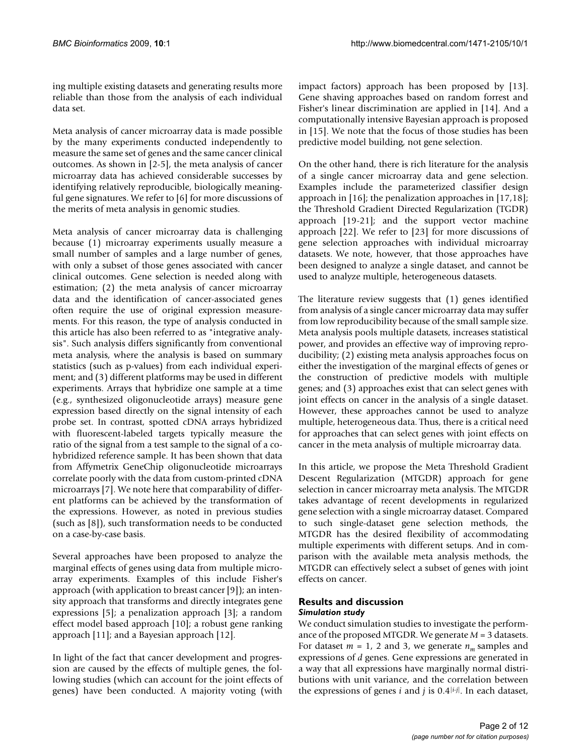ing multiple existing datasets and generating results more reliable than those from the analysis of each individual data set.

Meta analysis of cancer microarray data is made possible by the many experiments conducted independently to measure the same set of genes and the same cancer clinical outcomes. As shown in [2-5], the meta analysis of cancer microarray data has achieved considerable successes by identifying relatively reproducible, biologically meaningful gene signatures. We refer to [6] for more discussions of the merits of meta analysis in genomic studies.

Meta analysis of cancer microarray data is challenging because (1) microarray experiments usually measure a small number of samples and a large number of genes, with only a subset of those genes associated with cancer clinical outcomes. Gene selection is needed along with estimation; (2) the meta analysis of cancer microarray data and the identification of cancer-associated genes often require the use of original expression measurements. For this reason, the type of analysis conducted in this article has also been referred to as "integrative analysis". Such analysis differs significantly from conventional meta analysis, where the analysis is based on summary statistics (such as p-values) from each individual experiment; and (3) different platforms may be used in different experiments. Arrays that hybridize one sample at a time (e.g., synthesized oligonucleotide arrays) measure gene expression based directly on the signal intensity of each probe set. In contrast, spotted cDNA arrays hybridized with fluorescent-labeled targets typically measure the ratio of the signal from a test sample to the signal of a cohybridized reference sample. It has been shown that data from Affymetrix GeneChip oligonucleotide microarrays correlate poorly with the data from custom-printed cDNA microarrays [7]. We note here that comparability of different platforms can be achieved by the transformation of the expressions. However, as noted in previous studies (such as [8]), such transformation needs to be conducted on a case-by-case basis.

Several approaches have been proposed to analyze the marginal effects of genes using data from multiple microarray experiments. Examples of this include Fisher's approach (with application to breast cancer [9]); an intensity approach that transforms and directly integrates gene expressions [5]; a penalization approach [3]; a random effect model based approach [10]; a robust gene ranking approach [11]; and a Bayesian approach [12].

In light of the fact that cancer development and progression are caused by the effects of multiple genes, the following studies (which can account for the joint effects of genes) have been conducted. A majority voting (with

impact factors) approach has been proposed by [13]. Gene shaving approaches based on random forrest and Fisher's linear discrimination are applied in [14]. And a computationally intensive Bayesian approach is proposed in [15]. We note that the focus of those studies has been predictive model building, not gene selection.

On the other hand, there is rich literature for the analysis of a single cancer microarray data and gene selection. Examples include the parameterized classifier design approach in [16]; the penalization approaches in [17,18]; the Threshold Gradient Directed Regularization (TGDR) approach [19-21]; and the support vector machine approach [22]. We refer to [23] for more discussions of gene selection approaches with individual microarray datasets. We note, however, that those approaches have been designed to analyze a single dataset, and cannot be used to analyze multiple, heterogeneous datasets.

The literature review suggests that (1) genes identified from analysis of a single cancer microarray data may suffer from low reproducibility because of the small sample size. Meta analysis pools multiple datasets, increases statistical power, and provides an effective way of improving reproducibility; (2) existing meta analysis approaches focus on either the investigation of the marginal effects of genes or the construction of predictive models with multiple genes; and (3) approaches exist that can select genes with joint effects on cancer in the analysis of a single dataset. However, these approaches cannot be used to analyze multiple, heterogeneous data. Thus, there is a critical need for approaches that can select genes with joint effects on cancer in the meta analysis of multiple microarray data.

In this article, we propose the Meta Threshold Gradient Descent Regularization (MTGDR) approach for gene selection in cancer microarray meta analysis. The MTGDR takes advantage of recent developments in regularized gene selection with a single microarray dataset. Compared to such single-dataset gene selection methods, the MTGDR has the desired flexibility of accommodating multiple experiments with different setups. And in comparison with the available meta analysis methods, the MTGDR can effectively select a subset of genes with joint effects on cancer.

#### **Results and discussion** *Simulation study*

We conduct simulation studies to investigate the performance of the proposed MTGDR. We generate *M* = 3 datasets. For dataset  $m = 1$ , 2 and 3, we generate  $n_m$  samples and expressions of *d* genes. Gene expressions are generated in a way that all expressions have marginally normal distributions with unit variance, and the correlation between the expressions of genes *i* and *j* is 0.4|*i*-*j*<sup>|</sup> . In each dataset,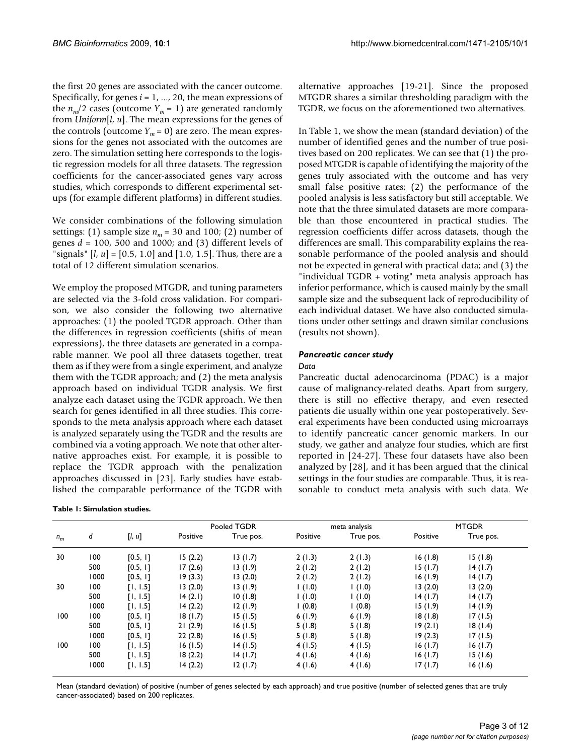the first 20 genes are associated with the cancer outcome. Specifically, for genes *i* = 1, ..., 20, the mean expressions of the  $n_m/2$  cases (outcome  $Y_m = 1$ ) are generated randomly from *Uniform*[*l*, *u*]. The mean expressions for the genes of the controls (outcome  $Y_m = 0$ ) are zero. The mean expressions for the genes not associated with the outcomes are zero. The simulation setting here corresponds to the logistic regression models for all three datasets. The regression coefficients for the cancer-associated genes vary across studies, which corresponds to different experimental setups (for example different platforms) in different studies.

We consider combinations of the following simulation settings: (1) sample size  $n_m = 30$  and 100; (2) number of genes *d* = 100, 500 and 1000; and (3) different levels of "signals" [*l*, *u*] = [0.5, 1.0] and [1.0, 1.5]. Thus, there are a total of 12 different simulation scenarios.

We employ the proposed MTGDR, and tuning parameters are selected via the 3-fold cross validation. For comparison, we also consider the following two alternative approaches: (1) the pooled TGDR approach. Other than the differences in regression coefficients (shifts of mean expressions), the three datasets are generated in a comparable manner. We pool all three datasets together, treat them as if they were from a single experiment, and analyze them with the TGDR approach; and (2) the meta analysis approach based on individual TGDR analysis. We first analyze each dataset using the TGDR approach. We then search for genes identified in all three studies. This corresponds to the meta analysis approach where each dataset is analyzed separately using the TGDR and the results are combined via a voting approach. We note that other alternative approaches exist. For example, it is possible to replace the TGDR approach with the penalization approaches discussed in [23]. Early studies have established the comparable performance of the TGDR with

| Table 1: Simulation studies. |  |  |  |  |
|------------------------------|--|--|--|--|
|------------------------------|--|--|--|--|

alternative approaches [19-21]. Since the proposed MTGDR shares a similar thresholding paradigm with the TGDR, we focus on the aforementioned two alternatives.

In Table 1, we show the mean (standard deviation) of the number of identified genes and the number of true positives based on 200 replicates. We can see that (1) the proposed MTGDR is capable of identifying the majority of the genes truly associated with the outcome and has very small false positive rates; (2) the performance of the pooled analysis is less satisfactory but still acceptable. We note that the three simulated datasets are more comparable than those encountered in practical studies. The regression coefficients differ across datasets, though the differences are small. This comparability explains the reasonable performance of the pooled analysis and should not be expected in general with practical data; and (3) the "individual TGDR + voting" meta analysis approach has inferior performance, which is caused mainly by the small sample size and the subsequent lack of reproducibility of each individual dataset. We have also conducted simulations under other settings and drawn similar conclusions (results not shown).

# *Pancreatic cancer study*

#### *Data*

Pancreatic ductal adenocarcinoma (PDAC) is a major cause of malignancy-related deaths. Apart from surgery, there is still no effective therapy, and even resected patients die usually within one year postoperatively. Several experiments have been conducted using microarrays to identify pancreatic cancer genomic markers. In our study, we gather and analyze four studies, which are first reported in [24-27]. These four datasets have also been analyzed by [28], and it has been argued that the clinical settings in the four studies are comparable. Thus, it is reasonable to conduct meta analysis with such data. We

|       |      |          |          | Pooled TGDR |           | meta analysis |          | <b>MTGDR</b> |  |  |
|-------|------|----------|----------|-------------|-----------|---------------|----------|--------------|--|--|
| $n_m$ | d    | [I, u]   | Positive | True pos.   | Positive  | True pos.     | Positive | True pos.    |  |  |
| 30    | 100  | [0.5, 1] | 15(2.2)  | 13(1.7)     | 2(1.3)    | 2(1.3)        | 16(1.8)  | 15(1.8)      |  |  |
|       | 500  | [0.5, 1] | 17(2.6)  | 13(1.9)     | 2(1.2)    | 2(1.2)        | 15(1.7)  | 14(1.7)      |  |  |
|       | 1000 | [0.5, 1] | 19(3.3)  | 13(2.0)     | 2(1.2)    | 2(1.2)        | 16(1.9)  | 14(1.7)      |  |  |
| 30    | 100  | [1, 1.5] | 13(2.0)  | 13(1.9)     | (0.1)     | (0.1)         | 13(2.0)  | 13(2.0)      |  |  |
|       | 500  | [1, 1.5] | 14(2.1)  | 10(1.8)     | $(0.1)$ 1 | (1.0)         | 14(1.7)  | 14(1.7)      |  |  |
|       | 1000 | [1, 1.5] | 14(2.2)  | 12(1.9)     | (0.8)     | (0.8)         | 15(1.9)  | 14(1.9)      |  |  |
| 100   | 100  | [0.5, 1] | 18(1.7)  | 15(1.5)     | 6(1.9)    | 6(1.9)        | 18(1.8)  | 17(1.5)      |  |  |
|       | 500  | [0.5, 1] | 21(2.9)  | 16(1.5)     | 5(1.8)    | 5(1.8)        | 19(2.1)  | 18(1.4)      |  |  |
|       | 1000 | [0.5, 1] | 22(2.8)  | 16(1.5)     | 5(1.8)    | 5(1.8)        | 19(2.3)  | 17(1.5)      |  |  |
| 100   | 100  | [1, 1.5] | 16(1.5)  | 14(1.5)     | 4(1.5)    | 4(1.5)        | 16(1.7)  | 16(1.7)      |  |  |
|       | 500  | [1, 1.5] | 18(2.2)  | 14(1.7)     | 4(1.6)    | 4(1.6)        | 16(1.7)  | 15(1.6)      |  |  |
|       | 1000 | [1, 1.5] | 14(2.2)  | 12(1.7)     | 4(1.6)    | 4(1.6)        | 17(1.7)  | 16(1.6)      |  |  |

Mean (standard deviation) of positive (number of genes selected by each approach) and true positive (number of selected genes that are truly cancer-associated) based on 200 replicates.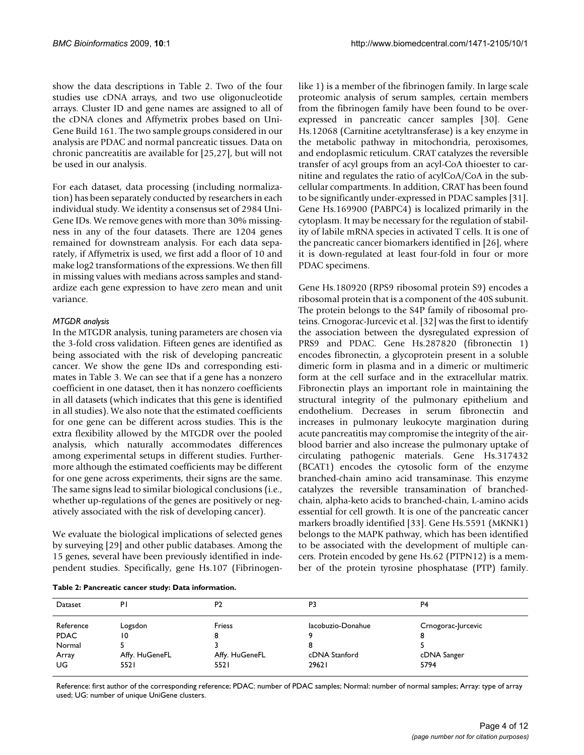show the data descriptions in Table 2. Two of the four studies use cDNA arrays, and two use oligonucleotide arrays. Cluster ID and gene names are assigned to all of the cDNA clones and Affymetrix probes based on Uni-Gene Build 161. The two sample groups considered in our analysis are PDAC and normal pancreatic tissues. Data on chronic pancreatitis are available for [25,27], but will not be used in our analysis.

For each dataset, data processing (including normalization) has been separately conducted by researchers in each individual study. We identity a consensus set of 2984 Uni-Gene IDs. We remove genes with more than 30% missingness in any of the four datasets. There are 1204 genes remained for downstream analysis. For each data separately, if Affymetrix is used, we first add a floor of 10 and make log2 transformations of the expressions. We then fill in missing values with medians across samples and standardize each gene expression to have zero mean and unit variance.

# *MTGDR analysis*

In the MTGDR analysis, tuning parameters are chosen via the 3-fold cross validation. Fifteen genes are identified as being associated with the risk of developing pancreatic cancer. We show the gene IDs and corresponding estimates in Table 3. We can see that if a gene has a nonzero coefficient in one dataset, then it has nonzero coefficients in all datasets (which indicates that this gene is identified in all studies). We also note that the estimated coefficients for one gene can be different across studies. This is the extra flexibility allowed by the MTGDR over the pooled analysis, which naturally accommodates differences among experimental setups in different studies. Furthermore although the estimated coefficients may be different for one gene across experiments, their signs are the same. The same signs lead to similar biological conclusions (i.e., whether up-regulations of the genes are positively or negatively associated with the risk of developing cancer).

We evaluate the biological implications of selected genes by surveying [29] and other public databases. Among the 15 genes, several have been previously identified in independent studies. Specifically, gene Hs.107 (Fibrinogenlike 1) is a member of the fibrinogen family. In large scale proteomic analysis of serum samples, certain members from the fibrinogen family have been found to be overexpressed in pancreatic cancer samples [30]. Gene Hs.12068 (Carnitine acetyltransferase) is a key enzyme in the metabolic pathway in mitochondria, peroxisomes, and endoplasmic reticulum. CRAT catalyzes the reversible transfer of acyl groups from an acyl-CoA thioester to carnitine and regulates the ratio of acylCoA/CoA in the subcellular compartments. In addition, CRAT has been found to be significantly under-expressed in PDAC samples [31]. Gene Hs.169900 (PABPC4) is localized primarily in the cytoplasm. It may be necessary for the regulation of stability of labile mRNA species in activated T cells. It is one of the pancreatic cancer biomarkers identified in [26], where it is down-regulated at least four-fold in four or more PDAC specimens.

Gene Hs.180920 (RPS9 ribosomal protein S9) encodes a ribosomal protein that is a component of the 40S subunit. The protein belongs to the S4P family of ribosomal proteins. Crnogorac-Jurcevic et al. [32] was the first to identify the association between the dysregulated expression of PRS9 and PDAC. Gene Hs.287820 (fibronectin 1) encodes fibronectin, a glycoprotein present in a soluble dimeric form in plasma and in a dimeric or multimeric form at the cell surface and in the extracellular matrix. Fibronectin plays an important role in maintaining the structural integrity of the pulmonary epithelium and endothelium. Decreases in serum fibronectin and increases in pulmonary leukocyte margination during acute pancreatitis may compromise the integrity of the airblood barrier and also increase the pulmonary uptake of circulating pathogenic materials. Gene Hs.317432 (BCAT1) encodes the cytosolic form of the enzyme branched-chain amino acid transaminase. This enzyme catalyzes the reversible transamination of branchedchain, alpha-keto acids to branched-chain, L-amino acids essential for cell growth. It is one of the pancreatic cancer markers broadly identified [33]. Gene Hs.5591 (MKNK1) belongs to the MAPK pathway, which has been identified to be associated with the development of multiple cancers. Protein encoded by gene Hs.62 (PTPN12) is a member of the protein tyrosine phosphatase (PTP) family.

|  | Table 2: Pancreatic cancer study: Data information. |
|--|-----------------------------------------------------|
|--|-----------------------------------------------------|

| Dataset                                     | ΡI                              | P2                                   | P3                                 | P <sub>4</sub>                         |
|---------------------------------------------|---------------------------------|--------------------------------------|------------------------------------|----------------------------------------|
| Reference<br><b>PDAC</b><br>Normal<br>Array | Logsdon<br>10<br>Affy. HuGeneFL | <b>Friess</b><br>ō<br>Affy. HuGeneFL | lacobuzio-Donahue<br>cDNA Stanford | Crnogorac-Jurcevic<br>8<br>cDNA Sanger |
| UG                                          | 5521                            | 5521                                 | 29621                              | 5794                                   |

Reference: first author of the corresponding reference; PDAC: number of PDAC samples; Normal: number of normal samples; Array: type of array used; UG: number of unique UniGene clusters.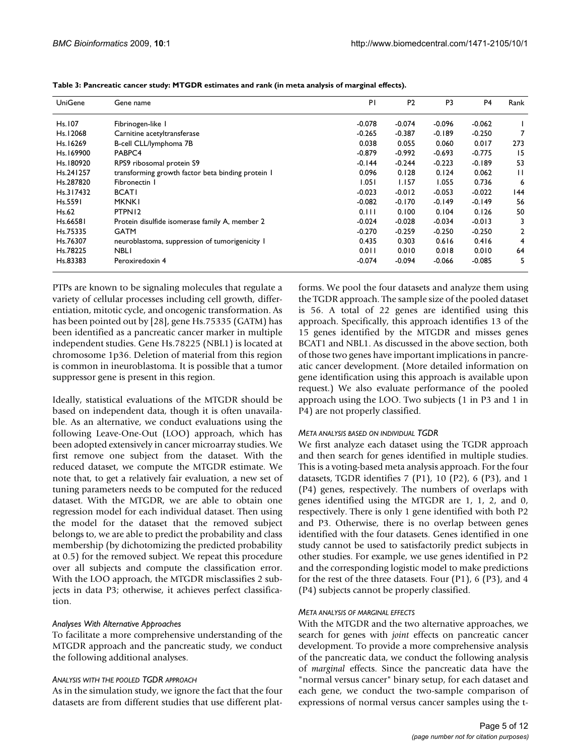| UniGene   | Gene name                                         | PI       | P <sub>2</sub> | P3       | P <sub>4</sub> | Rank         |
|-----------|---------------------------------------------------|----------|----------------|----------|----------------|--------------|
| Hs.107    | Fibrinogen-like I                                 | $-0.078$ | $-0.074$       | $-0.096$ | $-0.062$       |              |
| Hs.12068  | Carnitine acetyltransferase                       | $-0.265$ | $-0.387$       | $-0.189$ | $-0.250$       |              |
| Hs.16269  | B-cell CLL/lymphoma 7B                            | 0.038    | 0.055          | 0.060    | 0.017          | 273          |
| Hs.169900 | PABPC4                                            | $-0.879$ | $-0.992$       | $-0.693$ | $-0.775$       | 15           |
| Hs.180920 | RPS9 ribosomal protein S9                         | $-0.144$ | $-0.244$       | $-0.223$ | $-0.189$       | 53           |
| Hs.241257 | transforming growth factor beta binding protein I | 0.096    | 0.128          | 0.124    | 0.062          | $\mathbf{H}$ |
| Hs.287820 | Fibronectin I                                     | 1.051    | 1.157          | 1.055    | 0.736          | 6            |
| Hs.317432 | <b>BCATI</b>                                      | $-0.023$ | $-0.012$       | $-0.053$ | $-0.022$       | 144          |
| Hs.5591   | <b>MKNKI</b>                                      | $-0.082$ | $-0.170$       | $-0.149$ | $-0.149$       | 56           |
| Hs.62     | PTPN12                                            | 0.111    | 0.100          | 0.104    | 0.126          | 50           |
| Hs.66581  | Protein disulfide isomerase family A, member 2    | $-0.024$ | $-0.028$       | $-0.034$ | $-0.013$       | 3            |
| Hs.75335  | <b>GATM</b>                                       | $-0.270$ | $-0.259$       | $-0.250$ | $-0.250$       | 2            |
| Hs.76307  | neuroblastoma, suppression of tumorigenicity I    | 0.435    | 0.303          | 0.616    | 0.416          | 4            |
| Hs.78225  | <b>NBLI</b>                                       | 0.011    | 0.010          | 0.018    | 0.010          | 64           |
| Hs.83383  | Peroxiredoxin 4                                   | $-0.074$ | $-0.094$       | -0.066   | $-0.085$       | 5            |

**Table 3: Pancreatic cancer study: MTGDR estimates and rank (in meta analysis of marginal effects).**

PTPs are known to be signaling molecules that regulate a variety of cellular processes including cell growth, differentiation, mitotic cycle, and oncogenic transformation. As has been pointed out by [28], gene Hs.75335 (GATM) has been identified as a pancreatic cancer marker in multiple independent studies. Gene Hs.78225 (NBL1) is located at chromosome 1p36. Deletion of material from this region is common in ineuroblastoma. It is possible that a tumor suppressor gene is present in this region.

Ideally, statistical evaluations of the MTGDR should be based on independent data, though it is often unavailable. As an alternative, we conduct evaluations using the following Leave-One-Out (LOO) approach, which has been adopted extensively in cancer microarray studies. We first remove one subject from the dataset. With the reduced dataset, we compute the MTGDR estimate. We note that, to get a relatively fair evaluation, a new set of tuning parameters needs to be computed for the reduced dataset. With the MTGDR, we are able to obtain one regression model for each individual dataset. Then using the model for the dataset that the removed subject belongs to, we are able to predict the probability and class membership (by dichotomizing the predicted probability at 0.5) for the removed subject. We repeat this procedure over all subjects and compute the classification error. With the LOO approach, the MTGDR misclassifies 2 subjects in data P3; otherwise, it achieves perfect classification.

#### *Analyses With Alternative Approaches*

To facilitate a more comprehensive understanding of the MTGDR approach and the pancreatic study, we conduct the following additional analyses.

#### *ANALYSIS WITH THE POOLED TGDR APPROACH*

As in the simulation study, we ignore the fact that the four datasets are from different studies that use different platforms. We pool the four datasets and analyze them using the TGDR approach. The sample size of the pooled dataset is 56. A total of 22 genes are identified using this approach. Specifically, this approach identifies 13 of the 15 genes identified by the MTGDR and misses genes BCAT1 and NBL1. As discussed in the above section, both of those two genes have important implications in pancreatic cancer development. (More detailed information on gene identification using this approach is available upon request.) We also evaluate performance of the pooled approach using the LOO. Two subjects (1 in P3 and 1 in P4) are not properly classified.

#### *META ANALYSIS BASED ON INDIVIDUAL TGDR*

We first analyze each dataset using the TGDR approach and then search for genes identified in multiple studies. This is a voting-based meta analysis approach. For the four datasets, TGDR identifies 7 (P1), 10 (P2), 6 (P3), and 1 (P4) genes, respectively. The numbers of overlaps with genes identified using the MTGDR are 1, 1, 2, and 0, respectively. There is only 1 gene identified with both P2 and P3. Otherwise, there is no overlap between genes identified with the four datasets. Genes identified in one study cannot be used to satisfactorily predict subjects in other studies. For example, we use genes identified in P2 and the corresponding logistic model to make predictions for the rest of the three datasets. Four (P1), 6 (P3), and 4 (P4) subjects cannot be properly classified.

# *META ANALYSIS OF MARGINAL EFFECTS*

With the MTGDR and the two alternative approaches, we search for genes with *joint* effects on pancreatic cancer development. To provide a more comprehensive analysis of the pancreatic data, we conduct the following analysis of *marginal* effects. Since the pancreatic data have the "normal versus cancer" binary setup, for each dataset and each gene, we conduct the two-sample comparison of expressions of normal versus cancer samples using the t-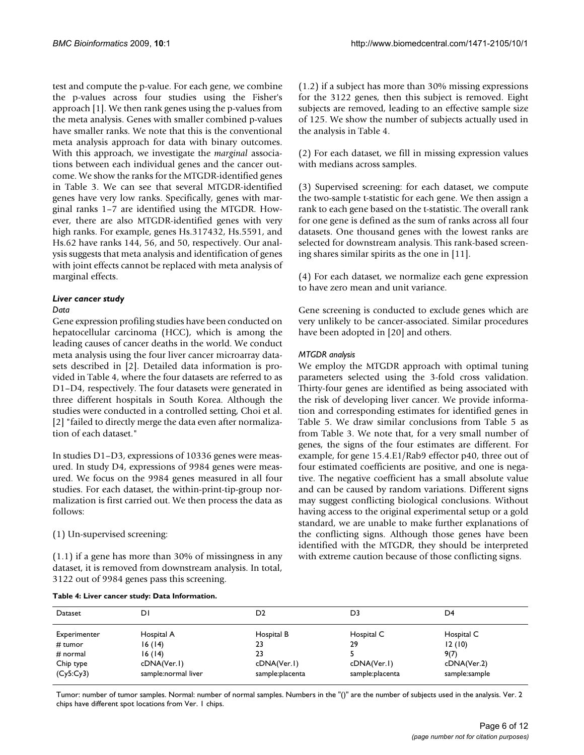test and compute the p-value. For each gene, we combine the p-values across four studies using the Fisher's approach [1]. We then rank genes using the p-values from the meta analysis. Genes with smaller combined p-values have smaller ranks. We note that this is the conventional meta analysis approach for data with binary outcomes. With this approach, we investigate the *marginal* associations between each individual genes and the cancer outcome. We show the ranks for the MTGDR-identified genes in Table 3. We can see that several MTGDR-identified genes have very low ranks. Specifically, genes with marginal ranks 1–7 are identified using the MTGDR. However, there are also MTGDR-identified genes with very high ranks. For example, genes Hs.317432, Hs.5591, and Hs.62 have ranks 144, 56, and 50, respectively. Our analysis suggests that meta analysis and identification of genes with joint effects cannot be replaced with meta analysis of marginal effects.

# *Liver cancer study*

#### *Data*

Gene expression profiling studies have been conducted on hepatocellular carcinoma (HCC), which is among the leading causes of cancer deaths in the world. We conduct meta analysis using the four liver cancer microarray datasets described in [2]. Detailed data information is provided in Table 4, where the four datasets are referred to as D1–D4, respectively. The four datasets were generated in three different hospitals in South Korea. Although the studies were conducted in a controlled setting, Choi et al. [2] "failed to directly merge the data even after normalization of each dataset."

In studies D1–D3, expressions of 10336 genes were measured. In study D4, expressions of 9984 genes were measured. We focus on the 9984 genes measured in all four studies. For each dataset, the within-print-tip-group normalization is first carried out. We then process the data as follows:

# (1) Un-supervised screening:

(1.1) if a gene has more than 30% of missingness in any dataset, it is removed from downstream analysis. In total, 3122 out of 9984 genes pass this screening.

(1.2) if a subject has more than 30% missing expressions for the 3122 genes, then this subject is removed. Eight subjects are removed, leading to an effective sample size of 125. We show the number of subjects actually used in the analysis in Table 4.

(2) For each dataset, we fill in missing expression values with medians across samples.

(3) Supervised screening: for each dataset, we compute the two-sample t-statistic for each gene. We then assign a rank to each gene based on the t-statistic. The overall rank for one gene is defined as the sum of ranks across all four datasets. One thousand genes with the lowest ranks are selected for downstream analysis. This rank-based screening shares similar spirits as the one in [11].

(4) For each dataset, we normalize each gene expression to have zero mean and unit variance.

Gene screening is conducted to exclude genes which are very unlikely to be cancer-associated. Similar procedures have been adopted in [20] and others.

# *MTGDR analysis*

We employ the MTGDR approach with optimal tuning parameters selected using the 3-fold cross validation. Thirty-four genes are identified as being associated with the risk of developing liver cancer. We provide information and corresponding estimates for identified genes in Table 5. We draw similar conclusions from Table 5 as from Table 3. We note that, for a very small number of genes, the signs of the four estimates are different. For example, for gene 15.4.E1/Rab9 effector p40, three out of four estimated coefficients are positive, and one is negative. The negative coefficient has a small absolute value and can be caused by random variations. Different signs may suggest conflicting biological conclusions. Without having access to the original experimental setup or a gold standard, we are unable to make further explanations of the conflicting signs. Although those genes have been identified with the MTGDR, they should be interpreted with extreme caution because of those conflicting signs.

| Dataset                | DΙ                                 | D <sub>2</sub>                 | D3                             | D <sub>4</sub>               |
|------------------------|------------------------------------|--------------------------------|--------------------------------|------------------------------|
| Experimenter           | Hospital A                         | Hospital B                     | Hospital C                     | Hospital C                   |
| $#$ tumor              | 16 (14)                            | 23                             | 29                             | 12(10)                       |
| $#$ normal             | 16(14)                             | 23                             |                                | 9(7)                         |
| Chip type<br>(Cy5:Cy3) | cDNA(Ver.1)<br>sample:normal liver | cDNA(Ver.1)<br>sample:placenta | cDNA(Ver.1)<br>sample:placenta | cDNA(Ver.2)<br>sample:sample |

#### **Table 4: Liver cancer study: Data Information.**

Tumor: number of tumor samples. Normal: number of normal samples. Numbers in the "()" are the number of subjects used in the analysis. Ver. 2 chips have different spot locations from Ver. 1 chips.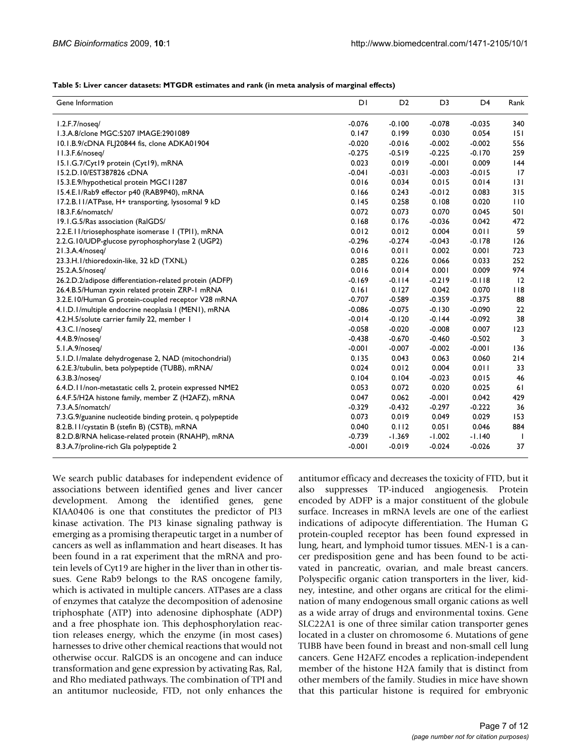| Table 5: Liver cancer datasets: MTGDR estimates and rank (in meta analysis of marginal effects) |  |
|-------------------------------------------------------------------------------------------------|--|
|-------------------------------------------------------------------------------------------------|--|

| Gene Information                                          | DI       | D <sub>2</sub> | D <sub>3</sub> | D <sub>4</sub> | Rank |
|-----------------------------------------------------------|----------|----------------|----------------|----------------|------|
| 1.2.F.7/noseq/                                            | $-0.076$ | $-0.100$       | $-0.078$       | $-0.035$       | 340  |
| 1.3.A.8/clone MGC:5207 IMAGE:2901089                      | 0.147    | 0.199          | 0.030          | 0.054          | 151  |
| 10.1.B.9/cDNA FL 20844 fis, clone ADKA01904               | $-0.020$ | $-0.016$       | $-0.002$       | $-0.002$       | 556  |
| 11.3.F.6/noseq/                                           | $-0.275$ | $-0.519$       | $-0.225$       | $-0.170$       | 259  |
| 15.1.G.7/Cyt19 protein (Cyt19), mRNA                      | 0.023    | 0.019          | $-0.001$       | 0.009          | 44   |
| 15.2.D.10/EST387826 cDNA                                  | $-0.041$ | $-0.031$       | $-0.003$       | $-0.015$       | 17   |
| 15.3.E.9/hypothetical protein MGC11287                    | 0.016    | 0.034          | 0.015          | 0.014          | 3    |
| 15.4.E.1/Rab9 effector p40 (RAB9P40), mRNA                | 0.166    | 0.243          | $-0.012$       | 0.083          | 315  |
| 17.2.B.11/ATPase, H+ transporting, lysosomal 9 kD         | 0.145    | 0.258          | 0.108          | 0.020          | 110  |
| 18.3.F.6/nomatch/                                         | 0.072    | 0.073          | 0.070          | 0.045          | 501  |
| 19.1.G.5/Ras association (RaIGDS/                         | 0.168    | 0.176          | $-0.036$       | 0.042          | 472  |
| 2.2.E. I l/triosephosphate isomerase I (TPII), mRNA       | 0.012    | 0.012          | 0.004          | 0.011          | 59   |
| 2.2.G.10/UDP-glucose pyrophosphorylase 2 (UGP2)           | $-0.296$ | $-0.274$       | $-0.043$       | $-0.178$       | 126  |
| 21.3.A.4/noseg/                                           | 0.016    | 0.011          | 0.002          | 0.001          | 723  |
| 23.3.H.1/thioredoxin-like, 32 kD (TXNL)                   | 0.285    | 0.226          | 0.066          | 0.033          | 252  |
| 25.2.A.5/noseg/                                           | 0.016    | 0.014          | 0.001          | 0.009          | 974  |
| 26.2.D.2/adipose differentiation-related protein (ADFP)   | $-0.169$ | $-0.114$       | $-0.219$       | $-0.118$       | 12   |
| 26.4.B.5/Human zyxin related protein ZRP-1 mRNA           | 0.161    | 0.127          | 0.042          | 0.070          | 118  |
| 3.2.E.10/Human G protein-coupled receptor V28 mRNA        | $-0.707$ | $-0.589$       | $-0.359$       | $-0.375$       | 88   |
| 4.1.D.1/multiple endocrine neoplasia I (MENI), mRNA       | $-0.086$ | $-0.075$       | $-0.130$       | $-0.090$       | 22   |
| 4.2.H.5/solute carrier family 22, member 1                | $-0.014$ | $-0.120$       | $-0.144$       | $-0.092$       | 38   |
| 4.3.C.I/noseg/                                            | $-0.058$ | $-0.020$       | $-0.008$       | 0.007          | 123  |
| 4.4.B.9/noseg/                                            | $-0.438$ | $-0.670$       | $-0.460$       | $-0.502$       | 3    |
| 5.1.A.9/noseg/                                            | $-0.001$ | $-0.007$       | $-0.002$       | $-0.001$       | 136  |
| 5.1.D.1/malate dehydrogenase 2, NAD (mitochondrial)       | 0.135    | 0.043          | 0.063          | 0.060          | 214  |
| 6.2.E.3/tubulin, beta polypeptide (TUBB), mRNA/           | 0.024    | 0.012          | 0.004          | 0.011          | 33   |
| 6.3.B.3/noseq/                                            | 0.104    | 0.104          | $-0.023$       | 0.015          | 46   |
| 6.4.D.11/non-metastatic cells 2, protein expressed NME2   | 0.053    | 0.072          | 0.020          | 0.025          | 61   |
| 6.4.F.5/H2A histone family, member Z (H2AFZ), mRNA        | 0.047    | 0.062          | $-0.001$       | 0.042          | 429  |
| 7.3.A.5/nomatch/                                          | $-0.329$ | $-0.432$       | $-0.297$       | $-0.222$       | 36   |
| 7.3.G.9/guanine nucleotide binding protein, q polypeptide | 0.073    | 0.019          | 0.049          | 0.029          | 153  |
| 8.2.B.11/cystatin B (stefin B) (CSTB), mRNA               | 0.040    | 0.112          | 0.051          | 0.046          | 884  |
| 8.2.D.8/RNA helicase-related protein (RNAHP), mRNA        | $-0.739$ | $-1.369$       | $-1.002$       | $-1.140$       |      |
| 8.3.A.7/proline-rich Gla polypeptide 2                    | $-0.001$ | $-0.019$       | $-0.024$       | $-0.026$       | 37   |

We search public databases for independent evidence of associations between identified genes and liver cancer development. Among the identified genes, gene KIAA0406 is one that constitutes the predictor of PI3 kinase activation. The PI3 kinase signaling pathway is emerging as a promising therapeutic target in a number of cancers as well as inflammation and heart diseases. It has been found in a rat experiment that the mRNA and protein levels of Cyt19 are higher in the liver than in other tissues. Gene Rab9 belongs to the RAS oncogene family, which is activated in multiple cancers. ATPases are a class of enzymes that catalyze the decomposition of adenosine triphosphate (ATP) into adenosine diphosphate (ADP) and a free phosphate ion. This dephosphorylation reaction releases energy, which the enzyme (in most cases) harnesses to drive other chemical reactions that would not otherwise occur. RalGDS is an oncogene and can induce transformation and gene expression by activating Ras, Ral, and Rho mediated pathways. The combination of TPI and an antitumor nucleoside, FTD, not only enhances the

antitumor efficacy and decreases the toxicity of FTD, but it also suppresses TP-induced angiogenesis. Protein encoded by ADFP is a major constituent of the globule surface. Increases in mRNA levels are one of the earliest indications of adipocyte differentiation. The Human G protein-coupled receptor has been found expressed in lung, heart, and lymphoid tumor tissues. MEN-1 is a cancer predisposition gene and has been found to be activated in pancreatic, ovarian, and male breast cancers. Polyspecific organic cation transporters in the liver, kidney, intestine, and other organs are critical for the elimination of many endogenous small organic cations as well as a wide array of drugs and environmental toxins. Gene SLC22A1 is one of three similar cation transporter genes located in a cluster on chromosome 6. Mutations of gene TUBB have been found in breast and non-small cell lung cancers. Gene H2AFZ encodes a replication-independent member of the histone H2A family that is distinct from other members of the family. Studies in mice have shown that this particular histone is required for embryonic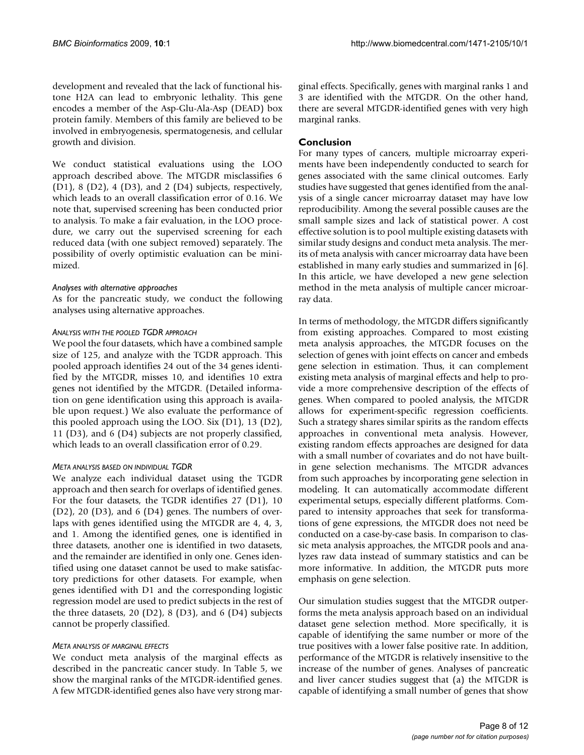development and revealed that the lack of functional histone H2A can lead to embryonic lethality. This gene encodes a member of the Asp-Glu-Ala-Asp (DEAD) box protein family. Members of this family are believed to be involved in embryogenesis, spermatogenesis, and cellular growth and division.

We conduct statistical evaluations using the LOO approach described above. The MTGDR misclassifies 6  $(D1)$ , 8  $(D2)$ , 4  $(D3)$ , and 2  $(D4)$  subjects, respectively, which leads to an overall classification error of 0.16. We note that, supervised screening has been conducted prior to analysis. To make a fair evaluation, in the LOO procedure, we carry out the supervised screening for each reduced data (with one subject removed) separately. The possibility of overly optimistic evaluation can be minimized.

#### *Analyses with alternative approaches*

As for the pancreatic study, we conduct the following analyses using alternative approaches.

# *ANALYSIS WITH THE POOLED TGDR APPROACH*

We pool the four datasets, which have a combined sample size of 125, and analyze with the TGDR approach. This pooled approach identifies 24 out of the 34 genes identified by the MTGDR, misses 10, and identifies 10 extra genes not identified by the MTGDR. (Detailed information on gene identification using this approach is available upon request.) We also evaluate the performance of this pooled approach using the LOO. Six (D1), 13 (D2), 11 (D3), and 6 (D4) subjects are not properly classified, which leads to an overall classification error of 0.29.

# *META ANALYSIS BASED ON INDIVIDUAL TGDR*

We analyze each individual dataset using the TGDR approach and then search for overlaps of identified genes. For the four datasets, the TGDR identifies 27 (D1), 10 (D2), 20 (D3), and 6 (D4) genes. The numbers of overlaps with genes identified using the MTGDR are 4, 4, 3, and 1. Among the identified genes, one is identified in three datasets, another one is identified in two datasets, and the remainder are identified in only one. Genes identified using one dataset cannot be used to make satisfactory predictions for other datasets. For example, when genes identified with D1 and the corresponding logistic regression model are used to predict subjects in the rest of the three datasets, 20 (D2), 8 (D3), and 6 (D4) subjects cannot be properly classified.

# *META ANALYSIS OF MARGINAL EFFECTS*

We conduct meta analysis of the marginal effects as described in the pancreatic cancer study. In Table 5, we show the marginal ranks of the MTGDR-identified genes. A few MTGDR-identified genes also have very strong marginal effects. Specifically, genes with marginal ranks 1 and 3 are identified with the MTGDR. On the other hand, there are several MTGDR-identified genes with very high marginal ranks.

# **Conclusion**

For many types of cancers, multiple microarray experiments have been independently conducted to search for genes associated with the same clinical outcomes. Early studies have suggested that genes identified from the analysis of a single cancer microarray dataset may have low reproducibility. Among the several possible causes are the small sample sizes and lack of statistical power. A cost effective solution is to pool multiple existing datasets with similar study designs and conduct meta analysis. The merits of meta analysis with cancer microarray data have been established in many early studies and summarized in [6]. In this article, we have developed a new gene selection method in the meta analysis of multiple cancer microarray data.

In terms of methodology, the MTGDR differs significantly from existing approaches. Compared to most existing meta analysis approaches, the MTGDR focuses on the selection of genes with joint effects on cancer and embeds gene selection in estimation. Thus, it can complement existing meta analysis of marginal effects and help to provide a more comprehensive description of the effects of genes. When compared to pooled analysis, the MTGDR allows for experiment-specific regression coefficients. Such a strategy shares similar spirits as the random effects approaches in conventional meta analysis. However, existing random effects approaches are designed for data with a small number of covariates and do not have builtin gene selection mechanisms. The MTGDR advances from such approaches by incorporating gene selection in modeling. It can automatically accommodate different experimental setups, especially different platforms. Compared to intensity approaches that seek for transformations of gene expressions, the MTGDR does not need be conducted on a case-by-case basis. In comparison to classic meta analysis approaches, the MTGDR pools and analyzes raw data instead of summary statistics and can be more informative. In addition, the MTGDR puts more emphasis on gene selection.

Our simulation studies suggest that the MTGDR outperforms the meta analysis approach based on an individual dataset gene selection method. More specifically, it is capable of identifying the same number or more of the true positives with a lower false positive rate. In addition, performance of the MTGDR is relatively insensitive to the increase of the number of genes. Analyses of pancreatic and liver cancer studies suggest that (a) the MTGDR is capable of identifying a small number of genes that show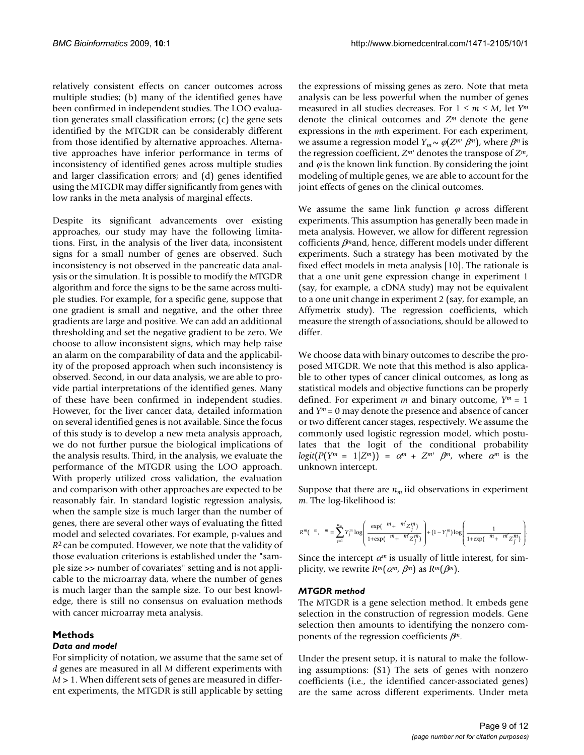relatively consistent effects on cancer outcomes across multiple studies; (b) many of the identified genes have been confirmed in independent studies. The LOO evaluation generates small classification errors; (c) the gene sets identified by the MTGDR can be considerably different from those identified by alternative approaches. Alternative approaches have inferior performance in terms of inconsistency of identified genes across multiple studies and larger classification errors; and (d) genes identified using the MTGDR may differ significantly from genes with low ranks in the meta analysis of marginal effects.

Despite its significant advancements over existing approaches, our study may have the following limitations. First, in the analysis of the liver data, inconsistent signs for a small number of genes are observed. Such inconsistency is not observed in the pancreatic data analysis or the simulation. It is possible to modify the MTGDR algorithm and force the signs to be the same across multiple studies. For example, for a specific gene, suppose that one gradient is small and negative, and the other three gradients are large and positive. We can add an additional thresholding and set the negative gradient to be zero. We choose to allow inconsistent signs, which may help raise an alarm on the comparability of data and the applicability of the proposed approach when such inconsistency is observed. Second, in our data analysis, we are able to provide partial interpretations of the identified genes. Many of these have been confirmed in independent studies. However, for the liver cancer data, detailed information on several identified genes is not available. Since the focus of this study is to develop a new meta analysis approach, we do not further pursue the biological implications of the analysis results. Third, in the analysis, we evaluate the performance of the MTGDR using the LOO approach. With properly utilized cross validation, the evaluation and comparison with other approaches are expected to be reasonably fair. In standard logistic regression analysis, when the sample size is much larger than the number of genes, there are several other ways of evaluating the fitted model and selected covariates. For example, p-values and *R*2 can be computed. However, we note that the validity of those evaluation criterions is established under the "sample size >> number of covariates" setting and is not applicable to the microarray data, where the number of genes is much larger than the sample size. To our best knowledge, there is still no consensus on evaluation methods with cancer microarray meta analysis.

# **Methods**

# *Data and model*

For simplicity of notation, we assume that the same set of *d* genes are measured in all *M* different experiments with *M* > 1. When different sets of genes are measured in different experiments, the MTGDR is still applicable by setting the expressions of missing genes as zero. Note that meta analysis can be less powerful when the number of genes measured in all studies decreases. For  $1 \le m \le M$ , let  $Y^m$ denote the clinical outcomes and *Zm* denote the gene expressions in the *m*th experiment. For each experiment, we assume a regression model  $Y_m \sim \varphi(Z^{m} \cdot \beta^n)$ , where  $\beta^n$  is the regression coefficient, *Zm*' denotes the transpose of *Zm*, and  $\varphi$  is the known link function. By considering the joint modeling of multiple genes, we are able to account for the joint effects of genes on the clinical outcomes.

We assume the same link function  $\varphi$  across different experiments. This assumption has generally been made in meta analysis. However, we allow for different regression cofficients β*<sup>m</sup>*and, hence, different models under different experiments. Such a strategy has been motivated by the fixed effect models in meta analysis [10]. The rationale is that a one unit gene expression change in experiment 1 (say, for example, a cDNA study) may not be equivalent to a one unit change in experiment 2 (say, for example, an Affymetrix study). The regression coefficients, which measure the strength of associations, should be allowed to differ.

We choose data with binary outcomes to describe the proposed MTGDR. We note that this method is also applicable to other types of cancer clinical outcomes, as long as statistical models and objective functions can be properly defined. For experiment *m* and binary outcome, *Ym* = 1 and *Ym* = 0 may denote the presence and absence of cancer or two different cancer stages, respectively. We assume the commonly used logistic regression model, which postulates that the logit of the conditional probability  $logit(P(Y^m = 1|Z^m)) = \alpha^m + Z^{m^1} \beta^n$ , where  $\alpha^m$  is the unknown intercept.

Suppose that there are  $n<sub>m</sub>$  iid observations in experiment *m*. The log-likelihood is:

$$
R^{m}(\mathbf{m}, \mathbf{m} = \sum_{j=1}^{n_{m}} Y_{j}^{m} \log \left( \frac{\exp(-m_{+} \ m' Z_{j}^{m})}{1 + \exp(-m_{+} \ m' Z_{j}^{m})} \right) + (1 - Y_{j}^{m}) \log \left( \frac{1}{1 + \exp(-m_{+} \ m' Z_{j}^{m})} \right).
$$

Since the intercept  $\alpha^m$  is usually of little interest, for simplicity, we rewrite  $R^m(\alpha^m, \beta^m)$  as  $R^m(\beta^m)$ .

# *MTGDR method*

The MTGDR is a gene selection method. It embeds gene selection in the construction of regression models. Gene selection then amounts to identifying the nonzero components of the regression coefficients β*<sup>m</sup>*.

Under the present setup, it is natural to make the following assumptions: (S1) The sets of genes with nonzero coefficients (i.e., the identified cancer-associated genes) are the same across different experiments. Under meta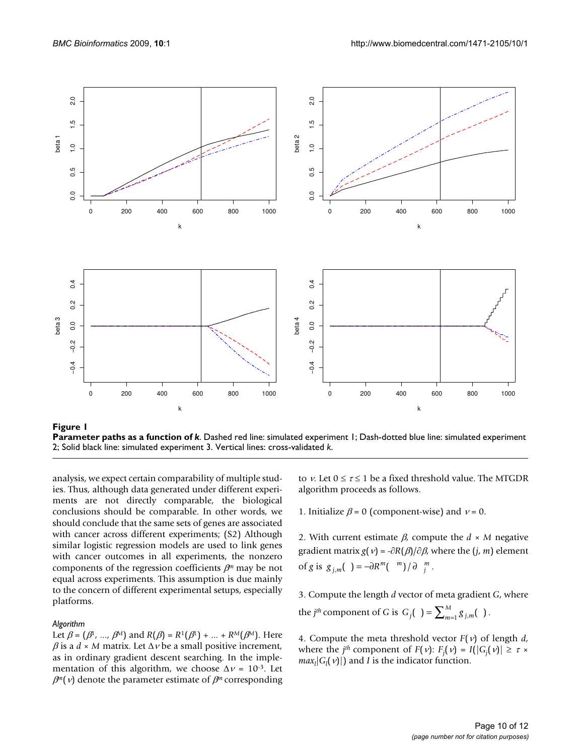

#### **Figure 1**

**Parameter paths as a function of** *k*. Dashed red line: simulated experiment 1; Dash-dotted blue line: simulated experiment 2; Solid black line: simulated experiment 3. Vertical lines: cross-validated *k*.

analysis, we expect certain comparability of multiple studies. Thus, although data generated under different experiments are not directly comparable, the biological conclusions should be comparable. In other words, we should conclude that the same sets of genes are associated with cancer across different experiments; (S2) Although similar logistic regression models are used to link genes with cancer outcomes in all experiments, the nonzero components of the regression coefficients  $\beta^n$  may be not equal across experiments. This assumption is due mainly to the concern of different experimental setups, especially platforms.

#### *Algorithm*

Let  $\beta = (\beta^1, ..., \beta^M)$  and  $R(\beta) = R^1(\beta^1) + ... + R^M(\beta^M)$ . Here  $β$  is a  $d \times M$  matrix. Let  $Δν$  be a small positive increment, as in ordinary gradient descent searching. In the implementation of this algorithm, we choose  $\Delta v = 10^{-3}$ . Let  $\beta^{n}(v)$  denote the parameter estimate of  $\beta^{n}$  corresponding to *ν*. Let  $0 \le \tau \le 1$  be a fixed threshold value. The MTGDR algorithm proceeds as follows.

1. Initialize  $\beta = 0$  (component-wise) and  $v = 0$ .

2. With current estimate  $\beta$ , compute the  $d \times M$  negative gradient matrix  $g(v) = -\frac{\partial R(\beta)}{\partial \beta}$ , where the  $(j, m)$  element of *g* is  $g_{j,m}$   $\left( \quad \right) = -\partial R^m \left( \quad \right)^m / \partial \left( \right)^m$ .

3. Compute the length *d* vector of meta gradient *G*, where the *j*<sup>th</sup> component of *G* is  $G_j$  ( ) =  $\sum_{m=1}^{M} g_{j,m}$  ( ).

4. Compute the meta threshold vector *F*(ν) of length *d*, where the *j<sup>th</sup>* component of *F*(*v*): *F<sub>j</sub>*(*v*) = *I*( $|G_j(v)| \ge \tau \times$  $max_l |G_l(v)|$ ) and *I* is the indicator function.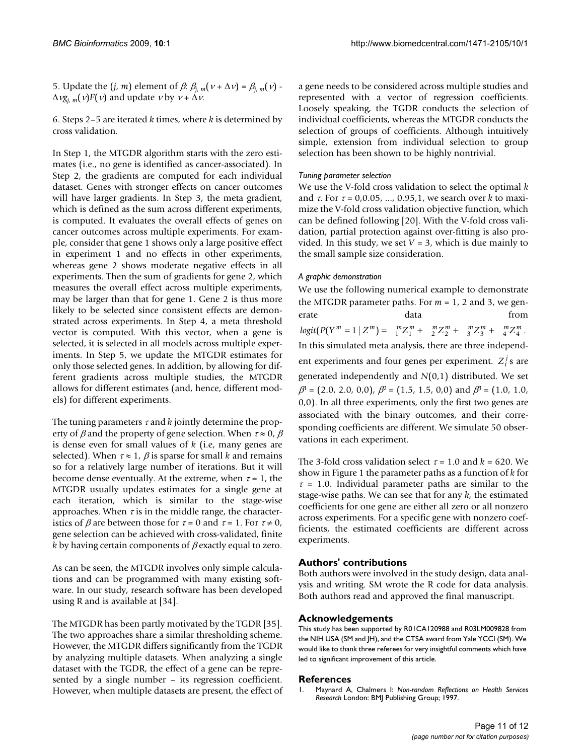5. Update the  $(j, m)$  element of  $\beta$ :  $\beta_{i,m}(v + \Delta v) = \beta_{i,m}(v)$ .  $\Delta v g_{i,m}(v) F(v)$  and update  $v$  by  $v + \Delta v$ .

6. Steps 2–5 are iterated *k* times, where *k* is determined by cross validation.

In Step 1, the MTGDR algorithm starts with the zero estimates (i.e., no gene is identified as cancer-associated). In Step 2, the gradients are computed for each individual dataset. Genes with stronger effects on cancer outcomes will have larger gradients. In Step 3, the meta gradient, which is defined as the sum across different experiments, is computed. It evaluates the overall effects of genes on cancer outcomes across multiple experiments. For example, consider that gene 1 shows only a large positive effect in experiment 1 and no effects in other experiments, whereas gene 2 shows moderate negative effects in all experiments. Then the sum of gradients for gene 2, which measures the overall effect across multiple experiments, may be larger than that for gene 1. Gene 2 is thus more likely to be selected since consistent effects are demonstrated across experiments. In Step 4, a meta threshold vector is computed. With this vector, when a gene is selected, it is selected in all models across multiple experiments. In Step 5, we update the MTGDR estimates for only those selected genes. In addition, by allowing for different gradients across multiple studies, the MTGDR allows for different estimates (and, hence, different models) for different experiments.

The tuning parameters  $\tau$  and  $k$  jointly determine the property of  $\beta$  and the property of gene selection. When  $\tau \approx 0$ ,  $\beta$ is dense even for small values of *k* (i.e, many genes are selected). When  $\tau \approx 1$ ,  $\beta$  is sparse for small *k* and remains so for a relatively large number of iterations. But it will become dense eventually. At the extreme, when  $\tau = 1$ , the MTGDR usually updates estimates for a single gene at each iteration, which is similar to the stage-wise approaches. When  $\tau$  is in the middle range, the characteristics of  $\beta$  are between those for  $\tau = 0$  and  $\tau = 1$ . For  $\tau \neq 0$ , gene selection can be achieved with cross-validated, finite *k* by having certain components of  $\beta$  exactly equal to zero.

As can be seen, the MTGDR involves only simple calculations and can be programmed with many existing software. In our study, research software has been developed using R and is available at [34].

The MTGDR has been partly motivated by the TGDR [35]. The two approaches share a similar thresholding scheme. However, the MTGDR differs significantly from the TGDR by analyzing multiple datasets. When analyzing a single dataset with the TGDR, the effect of a gene can be represented by a single number – its regression coefficient. However, when multiple datasets are present, the effect of a gene needs to be considered across multiple studies and represented with a vector of regression coefficients. Loosely speaking, the TGDR conducts the selection of individual coefficients, whereas the MTGDR conducts the selection of groups of coefficients. Although intuitively simple, extension from individual selection to group selection has been shown to be highly nontrivial.

#### *Tuning parameter selection*

We use the V-fold cross validation to select the optimal *k* and  $\tau$ . For  $\tau$  = 0,0.05, ..., 0.95,1, we search over *k* to maximize the V-fold cross validation objective function, which can be defined following [20]. With the V-fold cross validation, partial protection against over-fitting is also provided. In this study, we set  $V = 3$ , which is due mainly to the small sample size consideration.

# *A graphic demonstration*

We use the following numerical example to demonstrate the MTGDR parameter paths. For  $m = 1$ , 2 and 3, we generate data from  $logit(P(Y^m = 1 | Z^m) = \frac{m}{1}Z_1^m + \frac{m}{2}Z_2^m + \frac{m}{3}Z_3^m + \frac{m}{4}Z_4^m$ . In this simulated meta analysis, there are three independent experiments and four genes per experiment.  $Z_i^j$ s are generated independently and *N*(0,1) distributed. We set  $\beta$ <sup>1</sup> = (2.0, 2.0, 0,0),  $\beta$ <sup>2</sup> = (1.5, 1.5, 0,0) and  $\beta$ <sup>3</sup> = (1.0, 1.0, 0,0). In all three experiments, only the first two genes are associated with the binary outcomes, and their corresponding coefficients are different. We simulate 50 observations in each experiment.

The 3-fold cross validation select  $\tau$  = 1.0 and  $k$  = 620. We show in Figure 1 the parameter paths as a function of *k* for  $\tau$  = 1.0. Individual parameter paths are similar to the stage-wise paths. We can see that for any *k*, the estimated coefficients for one gene are either all zero or all nonzero across experiments. For a specific gene with nonzero coefficients, the estimated coefficients are different across experiments.

# **Authors' contributions**

Both authors were involved in the study design, data analysis and writing. SM wrote the R code for data analysis. Both authors read and approved the final manuscript.

#### **Acknowledgements**

This study has been supported by R01CA120988 and R03LM009828 from the NIH USA (SM and JH), and the CTSA award from Yale YCCI (SM). We would like to thank three referees for very insightful comments which have led to significant improvement of this article.

# **References**

1. Maynard A, Chalmers I: *Non-random Reflections on Health Services Research* London: BMJ Publishing Group; 1997.